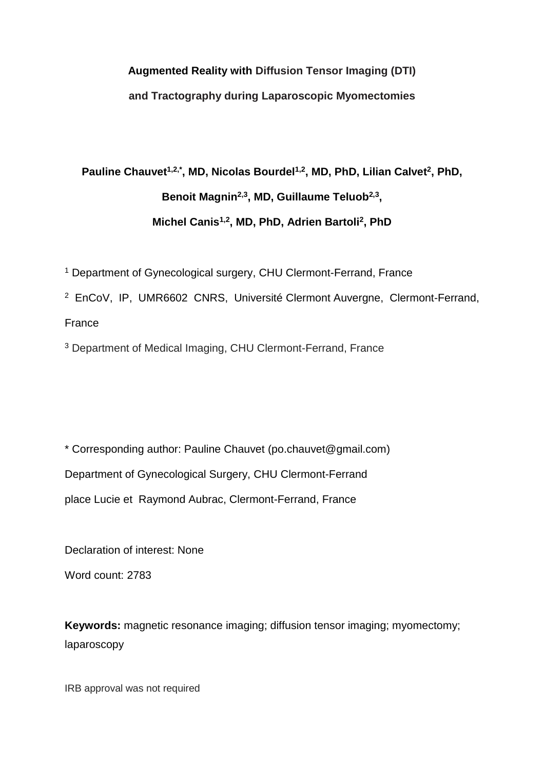## **Augmented Reality with Diffusion Tensor Imaging (DTI) and Tractography during Laparoscopic Myomectomies**

# **Pauline Chauvet1,2,\*, MD, Nicolas Bourdel1,2, MD, PhD, Lilian Calvet<sup>2</sup> , PhD, Benoit Magnin2,3, MD, Guillaume Teluob2,3 , Michel Canis1,2, MD, PhD, Adrien Bartoli<sup>2</sup> , PhD**

<sup>1</sup> Department of Gynecological surgery, CHU Clermont-Ferrand, France

<sup>2</sup> EnCoV, IP, UMR6602 CNRS, Université Clermont Auvergne, Clermont-Ferrand,

France

<sup>3</sup> Department of Medical Imaging, CHU Clermont-Ferrand, France

\* Corresponding author: Pauline Chauvet (po.chauvet@gmail.com) Department of Gynecological Surgery, CHU Clermont-Ferrand place Lucie et Raymond Aubrac, Clermont-Ferrand, France

Declaration of interest: None Word count: 2783

**Keywords:** magnetic resonance imaging; diffusion tensor imaging; myomectomy; laparoscopy

IRB approval was not required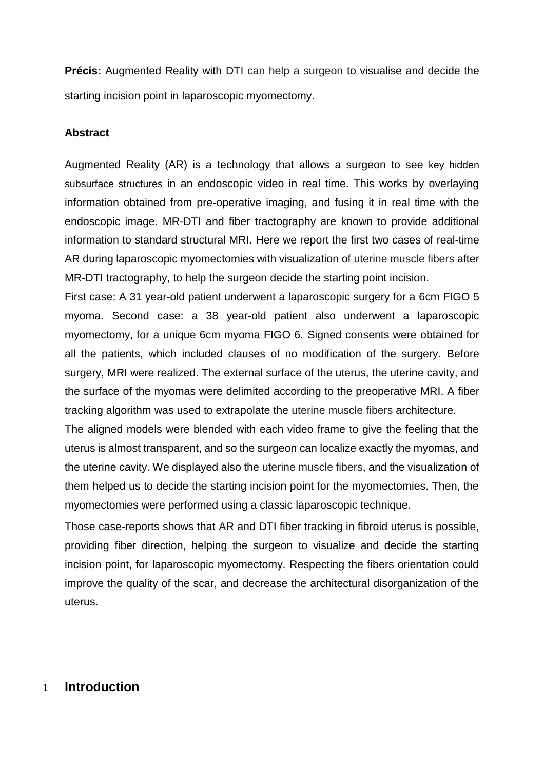**Précis:** Augmented Reality with DTI can help a surgeon to visualise and decide the starting incision point in laparoscopic myomectomy.

## **Abstract**

Augmented Reality (AR) is a technology that allows a surgeon to see key hidden subsurface structures in an endoscopic video in real time. This works by overlaying information obtained from pre-operative imaging, and fusing it in real time with the endoscopic image. MR-DTI and fiber tractography are known to provide additional information to standard structural MRI. Here we report the first two cases of real-time AR during laparoscopic myomectomies with visualization of uterine muscle fibers after MR-DTI tractography, to help the surgeon decide the starting point incision.

First case: A 31 year-old patient underwent a laparoscopic surgery for a 6cm FIGO 5 myoma. Second case: a 38 year-old patient also underwent a laparoscopic myomectomy, for a unique 6cm myoma FIGO 6. Signed consents were obtained for all the patients, which included clauses of no modification of the surgery. Before surgery, MRI were realized. The external surface of the uterus, the uterine cavity, and the surface of the myomas were delimited according to the preoperative MRI. A fiber tracking algorithm was used to extrapolate the uterine muscle fibers architecture.

The aligned models were blended with each video frame to give the feeling that the uterus is almost transparent, and so the surgeon can localize exactly the myomas, and the uterine cavity. We displayed also the uterine muscle fibers, and the visualization of them helped us to decide the starting incision point for the myomectomies. Then, the myomectomies were performed using a classic laparoscopic technique.

Those case-reports shows that AR and DTI fiber tracking in fibroid uterus is possible, providing fiber direction, helping the surgeon to visualize and decide the starting incision point, for laparoscopic myomectomy. Respecting the fibers orientation could improve the quality of the scar, and decrease the architectural disorganization of the uterus.

## 1 **Introduction**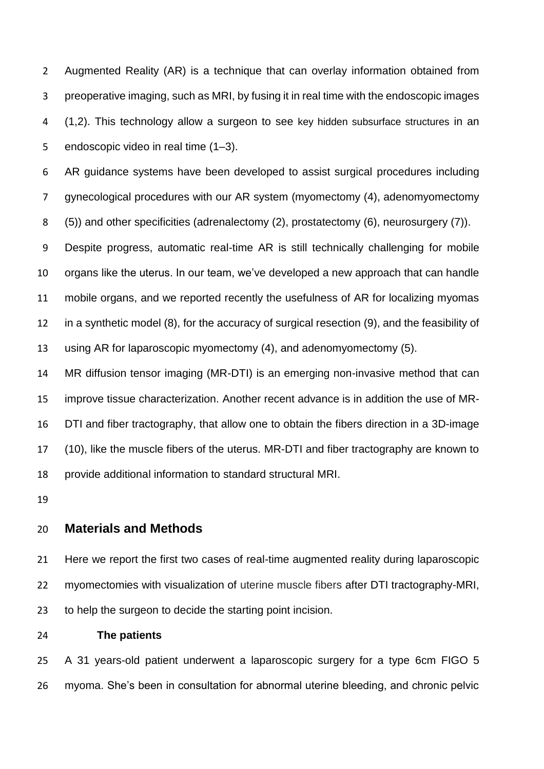Augmented Reality (AR) is a technique that can overlay information obtained from preoperative imaging, such as MRI, by fusing it in real time with the endoscopic images (1,2). This technology allow a surgeon to see key hidden subsurface structures in an endoscopic video in real time (1–3).

 AR guidance systems have been developed to assist surgical procedures including gynecological procedures with our AR system (myomectomy (4), adenomyomectomy (5)) and other specificities (adrenalectomy (2), prostatectomy (6), neurosurgery (7)).

 Despite progress, automatic real-time AR is still technically challenging for mobile organs like the uterus. In our team, we've developed a new approach that can handle mobile organs, and we reported recently the usefulness of AR for localizing myomas in a synthetic model (8), for the accuracy of surgical resection (9), and the feasibility of using AR for laparoscopic myomectomy (4), and adenomyomectomy (5).

 MR diffusion tensor imaging (MR-DTI) is an emerging non-invasive method that can improve tissue characterization. Another recent advance is in addition the use of MR- DTI and fiber tractography, that allow one to obtain the fibers direction in a 3D-image (10), like the muscle fibers of the uterus. MR-DTI and fiber tractography are known to provide additional information to standard structural MRI.

## **Materials and Methods**

 Here we report the first two cases of real-time augmented reality during laparoscopic myomectomies with visualization of uterine muscle fibers after DTI tractography-MRI, to help the surgeon to decide the starting point incision.

**The patients**

 A 31 years-old patient underwent a laparoscopic surgery for a type 6cm FIGO 5 myoma. She's been in consultation for abnormal uterine bleeding, and chronic pelvic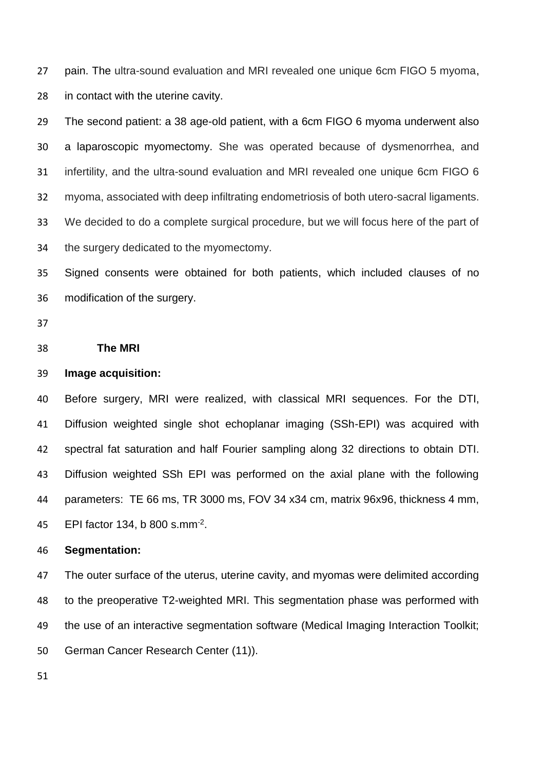pain. The ultra-sound evaluation and MRI revealed one unique 6cm FIGO 5 myoma, in contact with the uterine cavity.

 The second patient: a 38 age-old patient, with a 6cm FIGO 6 myoma underwent also a laparoscopic myomectomy. She was operated because of dysmenorrhea, and infertility, and the ultra-sound evaluation and MRI revealed one unique 6cm FIGO 6 myoma, associated with deep infiltrating endometriosis of both utero-sacral ligaments. We decided to do a complete surgical procedure, but we will focus here of the part of the surgery dedicated to the myomectomy.

 Signed consents were obtained for both patients, which included clauses of no modification of the surgery.

#### **The MRI**

#### **Image acquisition:**

 Before surgery, MRI were realized, with classical MRI sequences. For the DTI, Diffusion weighted single shot echoplanar imaging (SSh-EPI) was acquired with spectral fat saturation and half Fourier sampling along 32 directions to obtain DTI. Diffusion weighted SSh EPI was performed on the axial plane with the following parameters: TE 66 ms, TR 3000 ms, FOV 34 x34 cm, matrix 96x96, thickness 4 mm, 45 EPI factor 134, b 800 s.mm<sup>-2</sup>.

#### **Segmentation:**

 The outer surface of the uterus, uterine cavity, and myomas were delimited according to the preoperative T2-weighted MRI. This segmentation phase was performed with the use of an interactive segmentation software (Medical Imaging Interaction Toolkit; German Cancer Research Center (11)).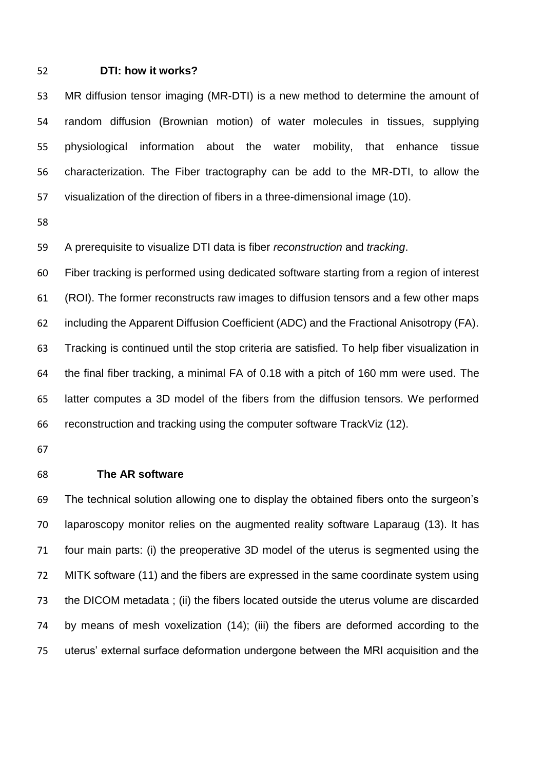#### **DTI: how it works?**

 MR diffusion tensor imaging (MR-DTI) is a new method to determine the amount of random diffusion (Brownian motion) of water molecules in tissues, supplying physiological information about the water mobility, that enhance tissue characterization. The Fiber tractography can be add to the MR-DTI, to allow the visualization of the direction of fibers in a three-dimensional image (10).

A prerequisite to visualize DTI data is fiber *reconstruction* and *tracking*.

 Fiber tracking is performed using dedicated software starting from a region of interest (ROI). The former reconstructs raw images to diffusion tensors and a few other maps including the Apparent Diffusion Coefficient (ADC) and the Fractional Anisotropy (FA). Tracking is continued until the stop criteria are satisfied. To help fiber visualization in the final fiber tracking, a minimal FA of 0.18 with a pitch of 160 mm were used. The latter computes a 3D model of the fibers from the diffusion tensors. We performed reconstruction and tracking using the computer software TrackViz (12).

#### **The AR software**

 The technical solution allowing one to display the obtained fibers onto the surgeon's laparoscopy monitor relies on the augmented reality software Laparaug (13). It has four main parts: (i) the preoperative 3D model of the uterus is segmented using the 72 MITK software (11) and the fibers are expressed in the same coordinate system using the DICOM metadata ; (ii) the fibers located outside the uterus volume are discarded by means of mesh voxelization (14); (iii) the fibers are deformed according to the uterus' external surface deformation undergone between the MRI acquisition and the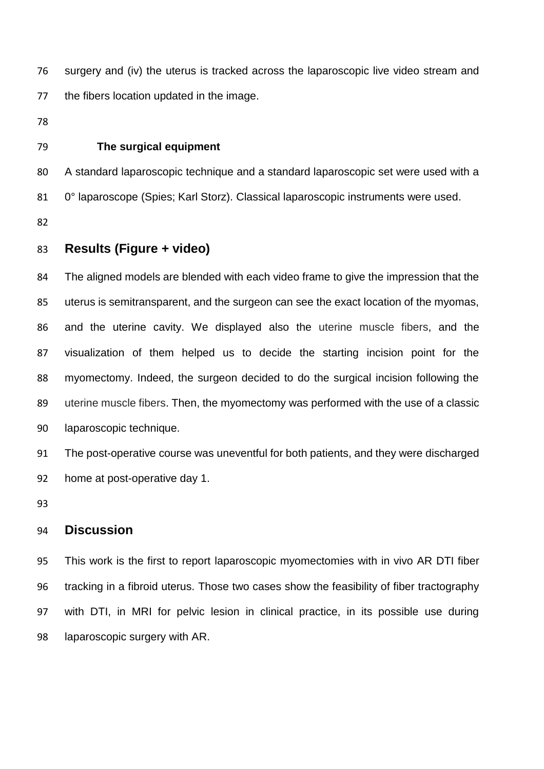surgery and (iv) the uterus is tracked across the laparoscopic live video stream and the fibers location updated in the image.

#### **The surgical equipment**

 A standard laparoscopic technique and a standard laparoscopic set were used with a 0° laparoscope (Spies; Karl Storz). Classical laparoscopic instruments were used.

## **Results (Figure + video)**

 The aligned models are blended with each video frame to give the impression that the uterus is semitransparent, and the surgeon can see the exact location of the myomas, and the uterine cavity. We displayed also the uterine muscle fibers, and the visualization of them helped us to decide the starting incision point for the myomectomy. Indeed, the surgeon decided to do the surgical incision following the uterine muscle fibers. Then, the myomectomy was performed with the use of a classic laparoscopic technique.

 The post-operative course was uneventful for both patients, and they were discharged home at post-operative day 1.

## **Discussion**

 This work is the first to report laparoscopic myomectomies with in vivo AR DTI fiber tracking in a fibroid uterus. Those two cases show the feasibility of fiber tractography with DTI, in MRI for pelvic lesion in clinical practice, in its possible use during laparoscopic surgery with AR.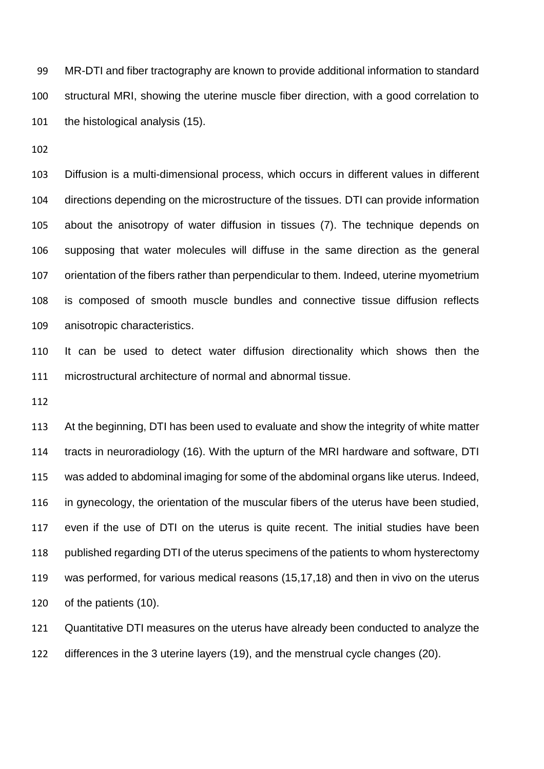MR-DTI and fiber tractography are known to provide additional information to standard structural MRI, showing the uterine muscle fiber direction, with a good correlation to the histological analysis (15).

 Diffusion is a multi-dimensional process, which occurs in different values in different directions depending on the microstructure of the tissues. DTI can provide information about the anisotropy of water diffusion in tissues (7). The technique depends on supposing that water molecules will diffuse in the same direction as the general orientation of the fibers rather than perpendicular to them. Indeed, uterine myometrium is composed of smooth muscle bundles and connective tissue diffusion reflects anisotropic characteristics.

 It can be used to detect water diffusion directionality which shows then the microstructural architecture of normal and abnormal tissue.

 At the beginning, DTI has been used to evaluate and show the integrity of white matter tracts in neuroradiology (16). With the upturn of the MRI hardware and software, DTI was added to abdominal imaging for some of the abdominal organs like uterus. Indeed, in gynecology, the orientation of the muscular fibers of the uterus have been studied, even if the use of DTI on the uterus is quite recent. The initial studies have been published regarding DTI of the uterus specimens of the patients to whom hysterectomy was performed, for various medical reasons (15,17,18) and then in vivo on the uterus of the patients (10).

 Quantitative DTI measures on the uterus have already been conducted to analyze the differences in the 3 uterine layers (19), and the menstrual cycle changes (20).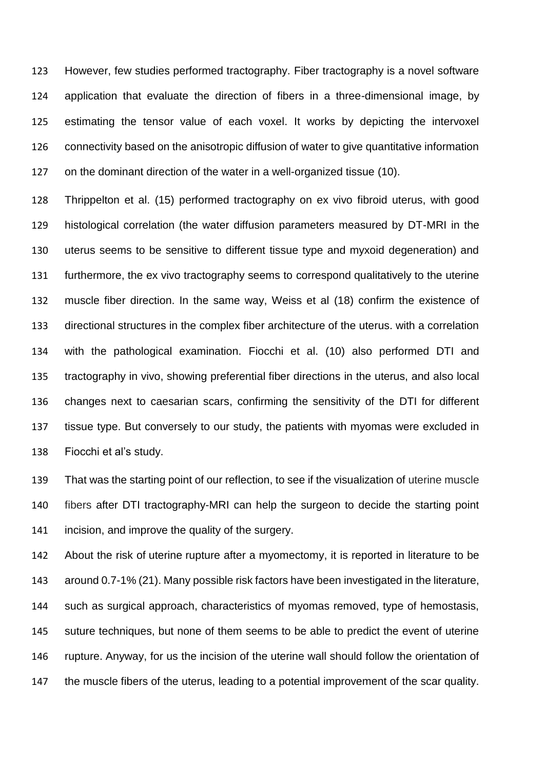However, few studies performed tractography. Fiber tractography is a novel software application that evaluate the direction of fibers in a three-dimensional image, by estimating the tensor value of each voxel. It works by depicting the intervoxel connectivity based on the anisotropic diffusion of water to give quantitative information on the dominant direction of the water in a well-organized tissue (10).

 Thrippelton et al. (15) performed tractography on ex vivo fibroid uterus, with good histological correlation (the water diffusion parameters measured by DT-MRI in the uterus seems to be sensitive to different tissue type and myxoid degeneration) and furthermore, the ex vivo tractography seems to correspond qualitatively to the uterine muscle fiber direction. In the same way, Weiss et al (18) confirm the existence of directional structures in the complex fiber architecture of the uterus. with a correlation with the pathological examination. Fiocchi et al. (10) also performed DTI and tractography in vivo, showing preferential fiber directions in the uterus, and also local changes next to caesarian scars, confirming the sensitivity of the DTI for different tissue type. But conversely to our study, the patients with myomas were excluded in Fiocchi et al's study.

 That was the starting point of our reflection, to see if the visualization of uterine muscle fibers after DTI tractography-MRI can help the surgeon to decide the starting point incision, and improve the quality of the surgery.

 About the risk of uterine rupture after a myomectomy, it is reported in literature to be around 0.7-1% (21). Many possible risk factors have been investigated in the literature, such as surgical approach, characteristics of myomas removed, type of hemostasis, suture techniques, but none of them seems to be able to predict the event of uterine rupture. Anyway, for us the incision of the uterine wall should follow the orientation of the muscle fibers of the uterus, leading to a potential improvement of the scar quality.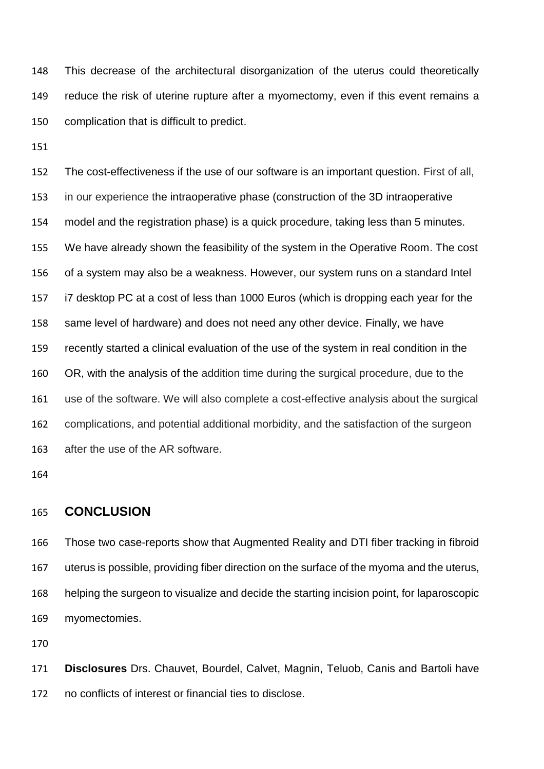This decrease of the architectural disorganization of the uterus could theoretically reduce the risk of uterine rupture after a myomectomy, even if this event remains a complication that is difficult to predict.

 The cost-effectiveness if the use of our software is an important question. First of all, in our experience the intraoperative phase (construction of the 3D intraoperative model and the registration phase) is a quick procedure, taking less than 5 minutes. We have already shown the feasibility of the system in the Operative Room. The cost of a system may also be a weakness. However, our system runs on a standard Intel i7 desktop PC at a cost of less than 1000 Euros (which is dropping each year for the same level of hardware) and does not need any other device. Finally, we have recently started a clinical evaluation of the use of the system in real condition in the OR, with the analysis of the addition time during the surgical procedure, due to the use of the software. We will also complete a cost-effective analysis about the surgical complications, and potential additional morbidity, and the satisfaction of the surgeon after the use of the AR software.

## **CONCLUSION**

 Those two case-reports show that Augmented Reality and DTI fiber tracking in fibroid uterus is possible, providing fiber direction on the surface of the myoma and the uterus, helping the surgeon to visualize and decide the starting incision point, for laparoscopic myomectomies.

 **Disclosures** Drs. Chauvet, Bourdel, Calvet, Magnin, Teluob, Canis and Bartoli have no conflicts of interest or financial ties to disclose.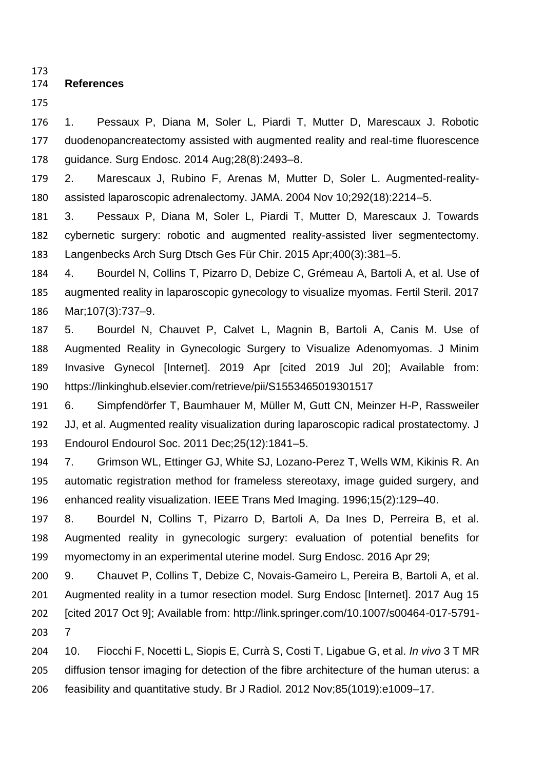### **References**

 1. Pessaux P, Diana M, Soler L, Piardi T, Mutter D, Marescaux J. Robotic duodenopancreatectomy assisted with augmented reality and real-time fluorescence guidance. Surg Endosc. 2014 Aug;28(8):2493–8.

 2. Marescaux J, Rubino F, Arenas M, Mutter D, Soler L. Augmented-reality-assisted laparoscopic adrenalectomy. JAMA. 2004 Nov 10;292(18):2214–5.

 3. Pessaux P, Diana M, Soler L, Piardi T, Mutter D, Marescaux J. Towards cybernetic surgery: robotic and augmented reality-assisted liver segmentectomy. Langenbecks Arch Surg Dtsch Ges Für Chir. 2015 Apr;400(3):381–5.

 4. Bourdel N, Collins T, Pizarro D, Debize C, Grémeau A, Bartoli A, et al. Use of augmented reality in laparoscopic gynecology to visualize myomas. Fertil Steril. 2017 Mar;107(3):737–9.

 5. Bourdel N, Chauvet P, Calvet L, Magnin B, Bartoli A, Canis M. Use of Augmented Reality in Gynecologic Surgery to Visualize Adenomyomas. J Minim Invasive Gynecol [Internet]. 2019 Apr [cited 2019 Jul 20]; Available from: https://linkinghub.elsevier.com/retrieve/pii/S1553465019301517

 6. Simpfendörfer T, Baumhauer M, Müller M, Gutt CN, Meinzer H-P, Rassweiler JJ, et al. Augmented reality visualization during laparoscopic radical prostatectomy. J Endourol Endourol Soc. 2011 Dec;25(12):1841–5.

 7. Grimson WL, Ettinger GJ, White SJ, Lozano-Perez T, Wells WM, Kikinis R. An automatic registration method for frameless stereotaxy, image guided surgery, and enhanced reality visualization. IEEE Trans Med Imaging. 1996;15(2):129–40.

 8. Bourdel N, Collins T, Pizarro D, Bartoli A, Da Ines D, Perreira B, et al. Augmented reality in gynecologic surgery: evaluation of potential benefits for myomectomy in an experimental uterine model. Surg Endosc. 2016 Apr 29;

 9. Chauvet P, Collins T, Debize C, Novais-Gameiro L, Pereira B, Bartoli A, et al. Augmented reality in a tumor resection model. Surg Endosc [Internet]. 2017 Aug 15 [cited 2017 Oct 9]; Available from: http://link.springer.com/10.1007/s00464-017-5791- 7

 10. Fiocchi F, Nocetti L, Siopis E, Currà S, Costi T, Ligabue G, et al. *In vivo* 3 T MR diffusion tensor imaging for detection of the fibre architecture of the human uterus: a feasibility and quantitative study. Br J Radiol. 2012 Nov;85(1019):e1009–17.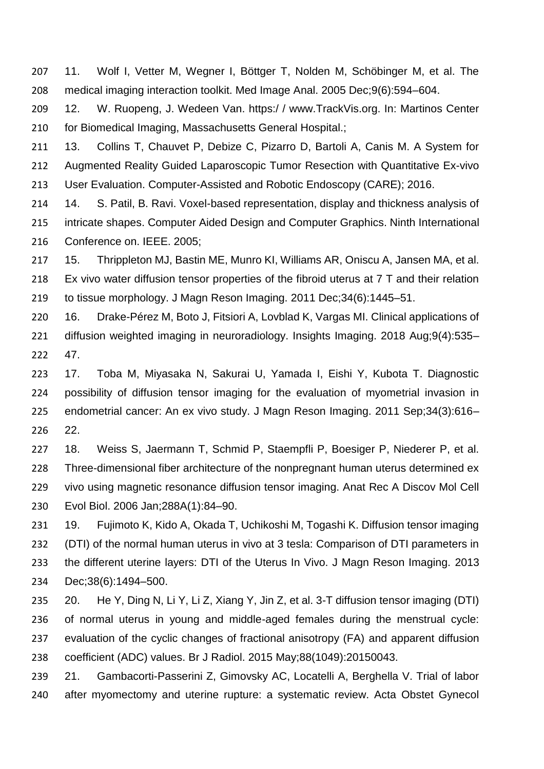11. Wolf I, Vetter M, Wegner I, Böttger T, Nolden M, Schöbinger M, et al. The medical imaging interaction toolkit. Med Image Anal. 2005 Dec;9(6):594–604.

 12. W. Ruopeng, J. Wedeen Van. https:/ / www.TrackVis.org. In: Martinos Center 210 for Biomedical Imaging, Massachusetts General Hospital.;

 13. Collins T, Chauvet P, Debize C, Pizarro D, Bartoli A, Canis M. A System for Augmented Reality Guided Laparoscopic Tumor Resection with Quantitative Ex-vivo User Evaluation. Computer-Assisted and Robotic Endoscopy (CARE); 2016.

 14. S. Patil, B. Ravi. Voxel-based representation, display and thickness analysis of intricate shapes. Computer Aided Design and Computer Graphics. Ninth International Conference on. IEEE. 2005;

 15. Thrippleton MJ, Bastin ME, Munro KI, Williams AR, Oniscu A, Jansen MA, et al. Ex vivo water diffusion tensor properties of the fibroid uterus at 7 T and their relation to tissue morphology. J Magn Reson Imaging. 2011 Dec;34(6):1445–51.

 16. Drake-Pérez M, Boto J, Fitsiori A, Lovblad K, Vargas MI. Clinical applications of diffusion weighted imaging in neuroradiology. Insights Imaging. 2018 Aug;9(4):535– 47.

 17. Toba M, Miyasaka N, Sakurai U, Yamada I, Eishi Y, Kubota T. Diagnostic possibility of diffusion tensor imaging for the evaluation of myometrial invasion in endometrial cancer: An ex vivo study. J Magn Reson Imaging. 2011 Sep;34(3):616– 22.

 18. Weiss S, Jaermann T, Schmid P, Staempfli P, Boesiger P, Niederer P, et al. Three-dimensional fiber architecture of the nonpregnant human uterus determined ex vivo using magnetic resonance diffusion tensor imaging. Anat Rec A Discov Mol Cell Evol Biol. 2006 Jan;288A(1):84–90.

 19. Fujimoto K, Kido A, Okada T, Uchikoshi M, Togashi K. Diffusion tensor imaging (DTI) of the normal human uterus in vivo at 3 tesla: Comparison of DTI parameters in the different uterine layers: DTI of the Uterus In Vivo. J Magn Reson Imaging. 2013 Dec;38(6):1494–500.

 20. He Y, Ding N, Li Y, Li Z, Xiang Y, Jin Z, et al. 3-T diffusion tensor imaging (DTI) of normal uterus in young and middle-aged females during the menstrual cycle: evaluation of the cyclic changes of fractional anisotropy (FA) and apparent diffusion coefficient (ADC) values. Br J Radiol. 2015 May;88(1049):20150043.

 21. Gambacorti-Passerini Z, Gimovsky AC, Locatelli A, Berghella V. Trial of labor after myomectomy and uterine rupture: a systematic review. Acta Obstet Gynecol